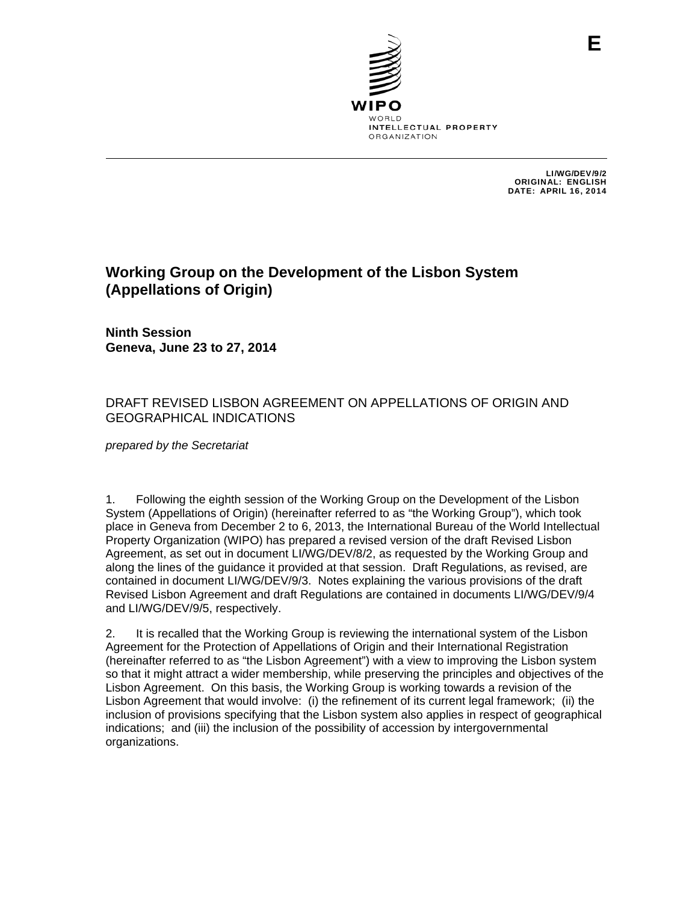

 LI/WG/DEV/9/2 ORIGINAL: ENGLISH DATE: APRIL 16, 2014

# **Working Group on the Development of the Lisbon System (Appellations of Origin)**

**Ninth Session Geneva, June 23 to 27, 2014** 

# DRAFT REVISED LISBON AGREEMENT ON APPELLATIONS OF ORIGIN AND GEOGRAPHICAL INDICATIONS

*prepared by the Secretariat* 

1. Following the eighth session of the Working Group on the Development of the Lisbon System (Appellations of Origin) (hereinafter referred to as "the Working Group"), which took place in Geneva from December 2 to 6, 2013, the International Bureau of the World Intellectual Property Organization (WIPO) has prepared a revised version of the draft Revised Lisbon Agreement, as set out in document LI/WG/DEV/8/2, as requested by the Working Group and along the lines of the guidance it provided at that session. Draft Regulations, as revised, are contained in document LI/WG/DEV/9/3. Notes explaining the various provisions of the draft Revised Lisbon Agreement and draft Regulations are contained in documents LI/WG/DEV/9/4 and LI/WG/DEV/9/5, respectively.

2. It is recalled that the Working Group is reviewing the international system of the Lisbon Agreement for the Protection of Appellations of Origin and their International Registration (hereinafter referred to as "the Lisbon Agreement") with a view to improving the Lisbon system so that it might attract a wider membership, while preserving the principles and objectives of the Lisbon Agreement. On this basis, the Working Group is working towards a revision of the Lisbon Agreement that would involve: (i) the refinement of its current legal framework; (ii) the inclusion of provisions specifying that the Lisbon system also applies in respect of geographical indications; and (iii) the inclusion of the possibility of accession by intergovernmental organizations.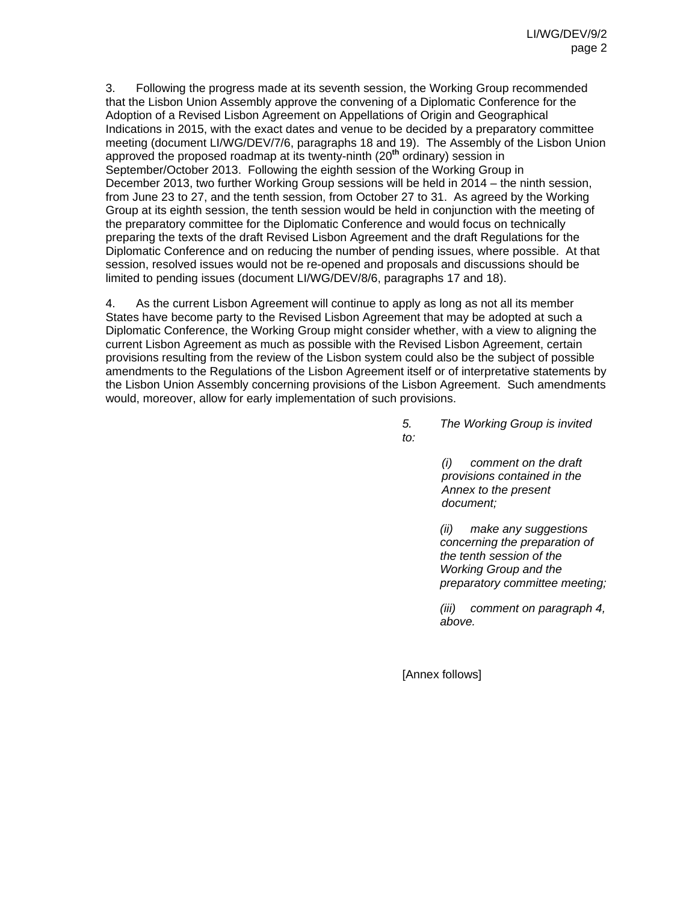3. Following the progress made at its seventh session, the Working Group recommended that the Lisbon Union Assembly approve the convening of a Diplomatic Conference for the Adoption of a Revised Lisbon Agreement on Appellations of Origin and Geographical Indications in 2015, with the exact dates and venue to be decided by a preparatory committee meeting (document LI/WG/DEV/7/6, paragraphs 18 and 19). The Assembly of the Lisbon Union approved the proposed roadmap at its twenty-ninth (20**th** ordinary) session in September/October 2013. Following the eighth session of the Working Group in December 2013, two further Working Group sessions will be held in 2014 – the ninth session, from June 23 to 27, and the tenth session, from October 27 to 31. As agreed by the Working Group at its eighth session, the tenth session would be held in conjunction with the meeting of the preparatory committee for the Diplomatic Conference and would focus on technically preparing the texts of the draft Revised Lisbon Agreement and the draft Regulations for the Diplomatic Conference and on reducing the number of pending issues, where possible. At that session, resolved issues would not be re-opened and proposals and discussions should be limited to pending issues (document LI/WG/DEV/8/6, paragraphs 17 and 18).

4. As the current Lisbon Agreement will continue to apply as long as not all its member States have become party to the Revised Lisbon Agreement that may be adopted at such a Diplomatic Conference, the Working Group might consider whether, with a view to aligning the current Lisbon Agreement as much as possible with the Revised Lisbon Agreement, certain provisions resulting from the review of the Lisbon system could also be the subject of possible amendments to the Regulations of the Lisbon Agreement itself or of interpretative statements by the Lisbon Union Assembly concerning provisions of the Lisbon Agreement. Such amendments would, moreover, allow for early implementation of such provisions.

> *5. The Working Group is invited to:*

> > *(i) comment on the draft provisions contained in the Annex to the present document;*

*(ii) make any suggestions concerning the preparation of the tenth session of the Working Group and the preparatory committee meeting;* 

*(iii) comment on paragraph 4, above.* 

[Annex follows]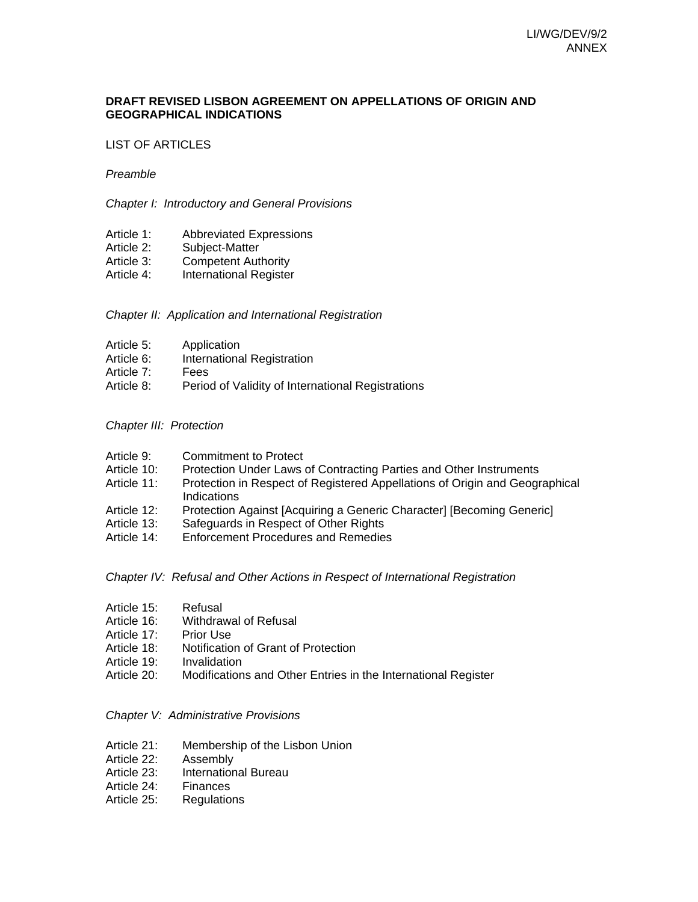#### **DRAFT REVISED LISBON AGREEMENT ON APPELLATIONS OF ORIGIN AND GEOGRAPHICAL INDICATIONS**

## LIST OF ARTICLES

#### *Preamble*

*Chapter I: Introductory and General Provisions* 

- Article 1: Abbreviated Expressions
- Article 2: Subject-Matter
- Article 3: Competent Authority
- Article 4: International Register

#### *Chapter II: Application and International Registration*

- Article 5: Application
- Article 6: International Registration
- Article 7: Fees
- Article 8: Period of Validity of International Registrations

#### *Chapter III: Protection*

|  | Article 9: | <b>Commitment to Protect</b> |
|--|------------|------------------------------|
|--|------------|------------------------------|

- Article 10: Protection Under Laws of Contracting Parties and Other Instruments<br>Article 11: Protection in Respect of Registered Appellations of Origin and Geogr
- Protection in Respect of Registered Appellations of Origin and Geographical Indications
- Article 12: Protection Against [Acquiring a Generic Character] [Becoming Generic]
- Article 13: Safeguards in Respect of Other Rights
- Article 14: Enforcement Procedures and Remedies

*Chapter IV: Refusal and Other Actions in Respect of International Registration* 

- Article 15: Refusal
- Article 16: Withdrawal of Refusal
- Article 17: Prior Use
- Article 18: Notification of Grant of Protection
- Article 19: Invalidation
- Article 20: Modifications and Other Entries in the International Register

#### *Chapter V: Administrative Provisions*

- Article 21: Membership of the Lisbon Union
- Article 22: Assembly
- Article 23: International Bureau
- Article 24: Finances
- Article 25: Regulations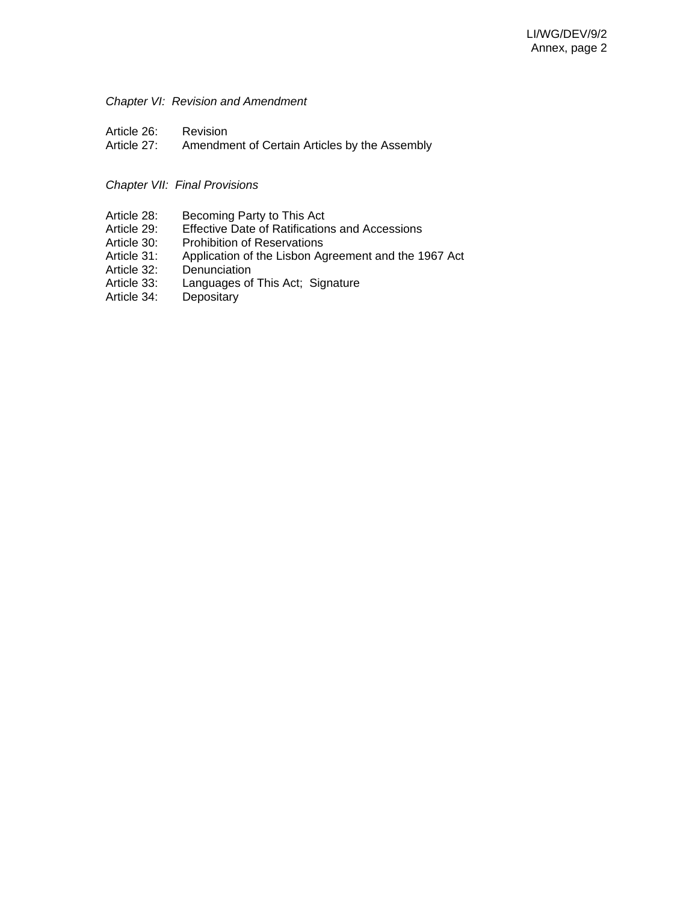## *Chapter VI: Revision and Amendment*

- Article 26: Revision
- Article 27: Amendment of Certain Articles by the Assembly

#### *Chapter VII: Final Provisions*

- Article 28: Becoming Party to This Act
- Article 29: Effective Date of Ratifications and Accessions
- Article 30: Prohibition of Reservations
- Article 31: Application of the Lisbon Agreement and the 1967 Act<br>Article 32: Denunciation
- Article 32: Denunciation<br>Article 33: Languages of
- Article 33: Languages of This Act; Signature<br>Article 34: Depositary
- Depositary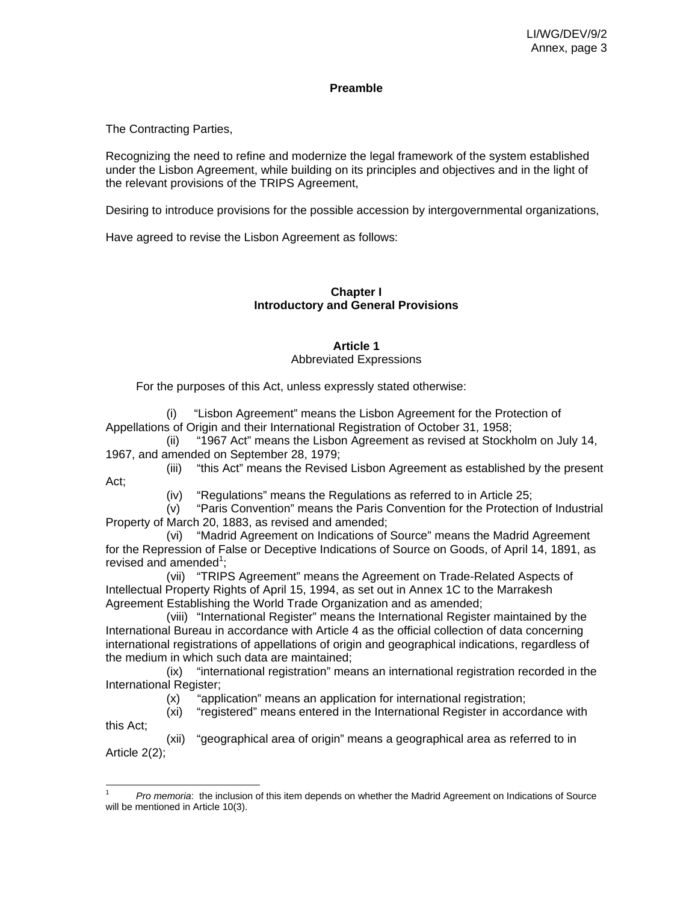## **Preamble**

The Contracting Parties,

l

Recognizing the need to refine and modernize the legal framework of the system established under the Lisbon Agreement, while building on its principles and objectives and in the light of the relevant provisions of the TRIPS Agreement,

Desiring to introduce provisions for the possible accession by intergovernmental organizations,

Have agreed to revise the Lisbon Agreement as follows:

## **Chapter I Introductory and General Provisions**

## **Article 1**

## Abbreviated Expressions

For the purposes of this Act, unless expressly stated otherwise:

(i) "Lisbon Agreement" means the Lisbon Agreement for the Protection of Appellations of Origin and their International Registration of October 31, 1958;

(ii) "1967 Act" means the Lisbon Agreement as revised at Stockholm on July 14, 1967, and amended on September 28, 1979;

(iii) "this Act" means the Revised Lisbon Agreement as established by the present Act;

(iv) "Regulations" means the Regulations as referred to in Article 25;

(v) "Paris Convention" means the Paris Convention for the Protection of Industrial Property of March 20, 1883, as revised and amended;

(vi) "Madrid Agreement on Indications of Source" means the Madrid Agreement for the Repression of False or Deceptive Indications of Source on Goods, of April 14, 1891, as revised and amended $1$ ;

(vii) "TRIPS Agreement" means the Agreement on Trade-Related Aspects of Intellectual Property Rights of April 15, 1994, as set out in Annex 1C to the Marrakesh Agreement Establishing the World Trade Organization and as amended;

(viii) "International Register" means the International Register maintained by the International Bureau in accordance with Article 4 as the official collection of data concerning international registrations of appellations of origin and geographical indications, regardless of the medium in which such data are maintained;

(ix) "international registration" means an international registration recorded in the International Register;

(x) "application" means an application for international registration;

(xi) "registered" means entered in the International Register in accordance with this Act;

(xii) "geographical area of origin" means a geographical area as referred to in Article 2(2);

<sup>1</sup> *Pro memoria*: the inclusion of this item depends on whether the Madrid Agreement on Indications of Source will be mentioned in Article 10(3).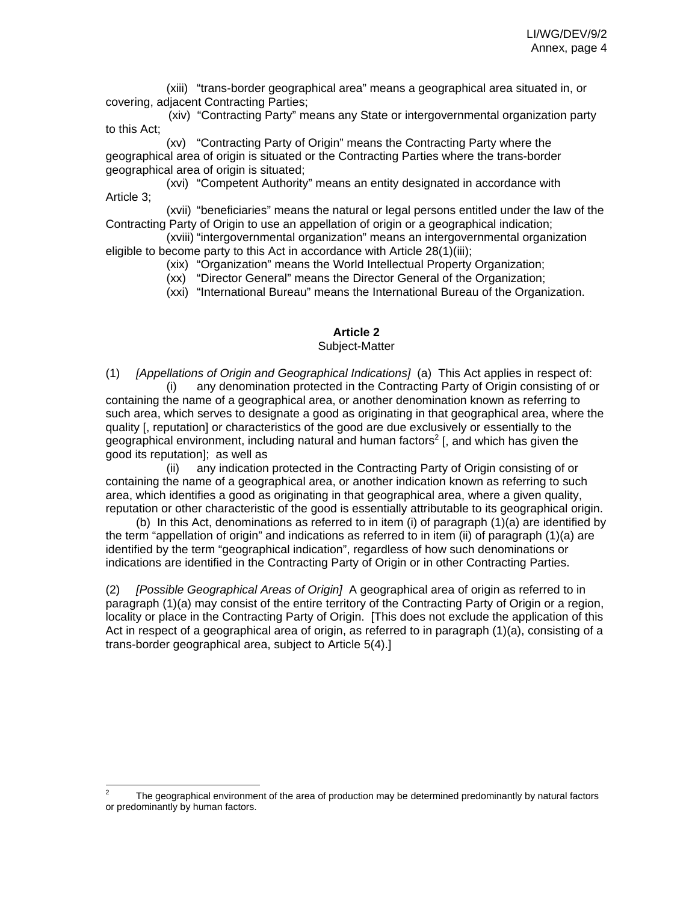(xiii) "trans-border geographical area" means a geographical area situated in, or covering, adjacent Contracting Parties;

(xiv) "Contracting Party" means any State or intergovernmental organization party to this Act;

(xv) "Contracting Party of Origin" means the Contracting Party where the geographical area of origin is situated or the Contracting Parties where the trans-border geographical area of origin is situated;

(xvi) "Competent Authority" means an entity designated in accordance with Article 3;

(xvii) "beneficiaries" means the natural or legal persons entitled under the law of the Contracting Party of Origin to use an appellation of origin or a geographical indication;

(xviii) "intergovernmental organization" means an intergovernmental organization eligible to become party to this Act in accordance with Article 28(1)(iii);

- (xix) "Organization" means the World Intellectual Property Organization;
- (xx) "Director General" means the Director General of the Organization;
- (xxi) "International Bureau" means the International Bureau of the Organization.

## **Article 2**

#### Subject-Matter

(1) *[Appellations of Origin and Geographical Indications]* (a) This Act applies in respect of: (i) any denomination protected in the Contracting Party of Origin consisting of or containing the name of a geographical area, or another denomination known as referring to such area, which serves to designate a good as originating in that geographical area, where the quality [, reputation] or characteristics of the good are due exclusively or essentially to the geographical environment, including natural and human factors<sup>2</sup> [, and which has given the good its reputation]; as well as

 (ii) any indication protected in the Contracting Party of Origin consisting of or containing the name of a geographical area, or another indication known as referring to such area, which identifies a good as originating in that geographical area, where a given quality, reputation or other characteristic of the good is essentially attributable to its geographical origin.

 (b) In this Act, denominations as referred to in item (i) of paragraph (1)(a) are identified by the term "appellation of origin" and indications as referred to in item (ii) of paragraph (1)(a) are identified by the term "geographical indication", regardless of how such denominations or indications are identified in the Contracting Party of Origin or in other Contracting Parties.

(2) *[Possible Geographical Areas of Origin]* A geographical area of origin as referred to in paragraph (1)(a) may consist of the entire territory of the Contracting Party of Origin or a region, locality or place in the Contracting Party of Origin. [This does not exclude the application of this Act in respect of a geographical area of origin, as referred to in paragraph (1)(a), consisting of a trans-border geographical area, subject to Article 5(4).]

l

<sup>2</sup> The geographical environment of the area of production may be determined predominantly by natural factors or predominantly by human factors.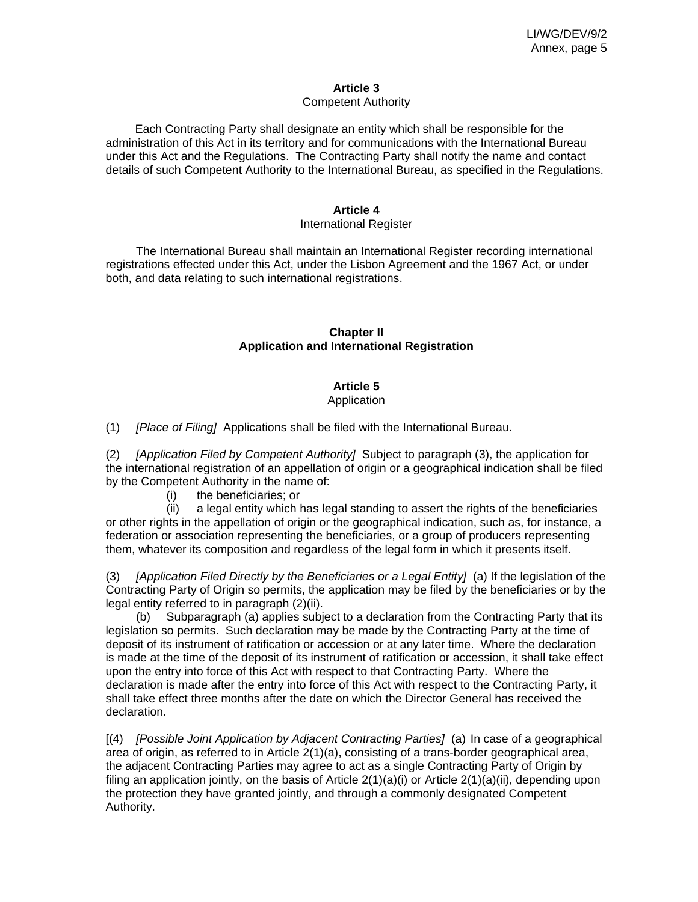#### Competent Authority

 Each Contracting Party shall designate an entity which shall be responsible for the administration of this Act in its territory and for communications with the International Bureau under this Act and the Regulations. The Contracting Party shall notify the name and contact details of such Competent Authority to the International Bureau, as specified in the Regulations.

## **Article 4**

#### International Register

 The International Bureau shall maintain an International Register recording international registrations effected under this Act, under the Lisbon Agreement and the 1967 Act, or under both, and data relating to such international registrations.

#### **Chapter II Application and International Registration**

## **Article 5**

#### Application

(1) *[Place of Filing]* Applications shall be filed with the International Bureau.

(2) *[Application Filed by Competent Authority]* Subject to paragraph (3), the application for the international registration of an appellation of origin or a geographical indication shall be filed by the Competent Authority in the name of:

(i) the beneficiaries; or

 (ii) a legal entity which has legal standing to assert the rights of the beneficiaries or other rights in the appellation of origin or the geographical indication, such as, for instance, a federation or association representing the beneficiaries, or a group of producers representing them, whatever its composition and regardless of the legal form in which it presents itself.

(3) *[Application Filed Directly by the Beneficiaries or a Legal Entity]* (a) If the legislation of the Contracting Party of Origin so permits, the application may be filed by the beneficiaries or by the legal entity referred to in paragraph (2)(ii).

(b) Subparagraph (a) applies subject to a declaration from the Contracting Party that its legislation so permits. Such declaration may be made by the Contracting Party at the time of deposit of its instrument of ratification or accession or at any later time. Where the declaration is made at the time of the deposit of its instrument of ratification or accession, it shall take effect upon the entry into force of this Act with respect to that Contracting Party. Where the declaration is made after the entry into force of this Act with respect to the Contracting Party, it shall take effect three months after the date on which the Director General has received the declaration.

[(4) *[Possible Joint Application by Adjacent Contracting Parties]* (a) In case of a geographical area of origin, as referred to in Article 2(1)(a), consisting of a trans-border geographical area, the adjacent Contracting Parties may agree to act as a single Contracting Party of Origin by filing an application jointly, on the basis of Article  $2(1)(a)(i)$  or Article  $2(1)(a)(ii)$ , depending upon the protection they have granted jointly, and through a commonly designated Competent Authority.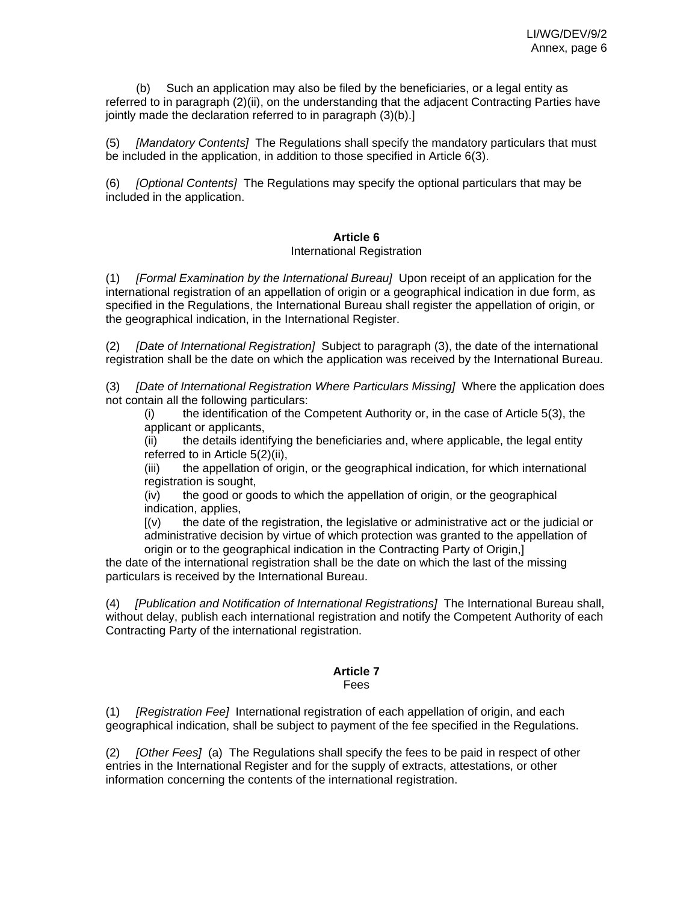(b) Such an application may also be filed by the beneficiaries, or a legal entity as referred to in paragraph (2)(ii), on the understanding that the adjacent Contracting Parties have jointly made the declaration referred to in paragraph (3)(b).]

(5) *[Mandatory Contents]* The Regulations shall specify the mandatory particulars that must be included in the application, in addition to those specified in Article 6(3).

(6) *[Optional Contents]* The Regulations may specify the optional particulars that may be included in the application.

#### **Article 6**

#### International Registration

(1) *[Formal Examination by the International Bureau]* Upon receipt of an application for the international registration of an appellation of origin or a geographical indication in due form, as specified in the Regulations, the International Bureau shall register the appellation of origin, or the geographical indication, in the International Register.

(2) *[Date of International Registration]* Subject to paragraph (3), the date of the international registration shall be the date on which the application was received by the International Bureau.

(3) *[Date of International Registration Where Particulars Missing]* Where the application does not contain all the following particulars:

(i) the identification of the Competent Authority or, in the case of Article 5(3), the applicant or applicants,

(ii) the details identifying the beneficiaries and, where applicable, the legal entity referred to in Article 5(2)(ii),

(iii) the appellation of origin, or the geographical indication, for which international registration is sought,

(iv) the good or goods to which the appellation of origin, or the geographical indication, applies,

 $[(v)]$  the date of the registration, the legislative or administrative act or the judicial or administrative decision by virtue of which protection was granted to the appellation of origin or to the geographical indication in the Contracting Party of Origin,]

the date of the international registration shall be the date on which the last of the missing particulars is received by the International Bureau.

(4) *[Publication and Notification of International Registrations]* The International Bureau shall, without delay, publish each international registration and notify the Competent Authority of each Contracting Party of the international registration.

## **Article 7**

#### Fees

(1) *[Registration Fee]* International registration of each appellation of origin, and each geographical indication, shall be subject to payment of the fee specified in the Regulations.

(2) *[Other Fees]* (a) The Regulations shall specify the fees to be paid in respect of other entries in the International Register and for the supply of extracts, attestations, or other information concerning the contents of the international registration.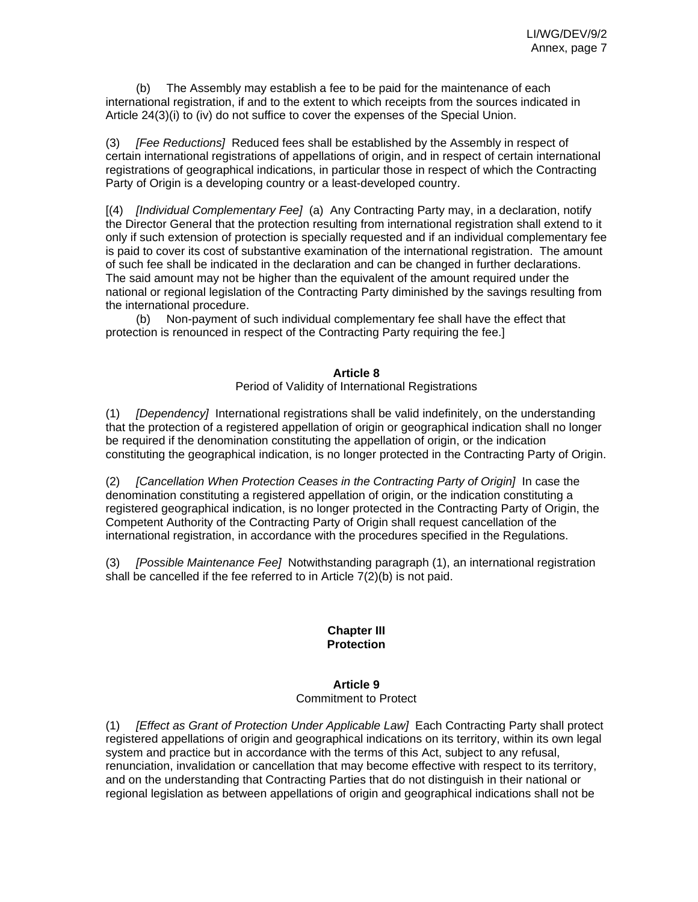(b) The Assembly may establish a fee to be paid for the maintenance of each international registration, if and to the extent to which receipts from the sources indicated in Article 24(3)(i) to (iv) do not suffice to cover the expenses of the Special Union.

(3) *[Fee Reductions]* Reduced fees shall be established by the Assembly in respect of certain international registrations of appellations of origin, and in respect of certain international registrations of geographical indications, in particular those in respect of which the Contracting Party of Origin is a developing country or a least-developed country.

[(4) *[Individual Complementary Fee]* (a) Any Contracting Party may, in a declaration, notify the Director General that the protection resulting from international registration shall extend to it only if such extension of protection is specially requested and if an individual complementary fee is paid to cover its cost of substantive examination of the international registration. The amount of such fee shall be indicated in the declaration and can be changed in further declarations. The said amount may not be higher than the equivalent of the amount required under the national or regional legislation of the Contracting Party diminished by the savings resulting from the international procedure.

 (b) Non-payment of such individual complementary fee shall have the effect that protection is renounced in respect of the Contracting Party requiring the fee.]

#### **Article 8**

Period of Validity of International Registrations

(1) *[Dependency]* International registrations shall be valid indefinitely, on the understanding that the protection of a registered appellation of origin or geographical indication shall no longer be required if the denomination constituting the appellation of origin, or the indication constituting the geographical indication, is no longer protected in the Contracting Party of Origin.

(2) *[Cancellation When Protection Ceases in the Contracting Party of Origin]* In case the denomination constituting a registered appellation of origin, or the indication constituting a registered geographical indication, is no longer protected in the Contracting Party of Origin, the Competent Authority of the Contracting Party of Origin shall request cancellation of the international registration, in accordance with the procedures specified in the Regulations.

(3) *[Possible Maintenance Fee]* Notwithstanding paragraph (1), an international registration shall be cancelled if the fee referred to in Article 7(2)(b) is not paid.

#### **Chapter III Protection**

# **Article 9**

## Commitment to Protect

(1) *[Effect as Grant of Protection Under Applicable Law]* Each Contracting Party shall protect registered appellations of origin and geographical indications on its territory, within its own legal system and practice but in accordance with the terms of this Act, subject to any refusal, renunciation, invalidation or cancellation that may become effective with respect to its territory, and on the understanding that Contracting Parties that do not distinguish in their national or regional legislation as between appellations of origin and geographical indications shall not be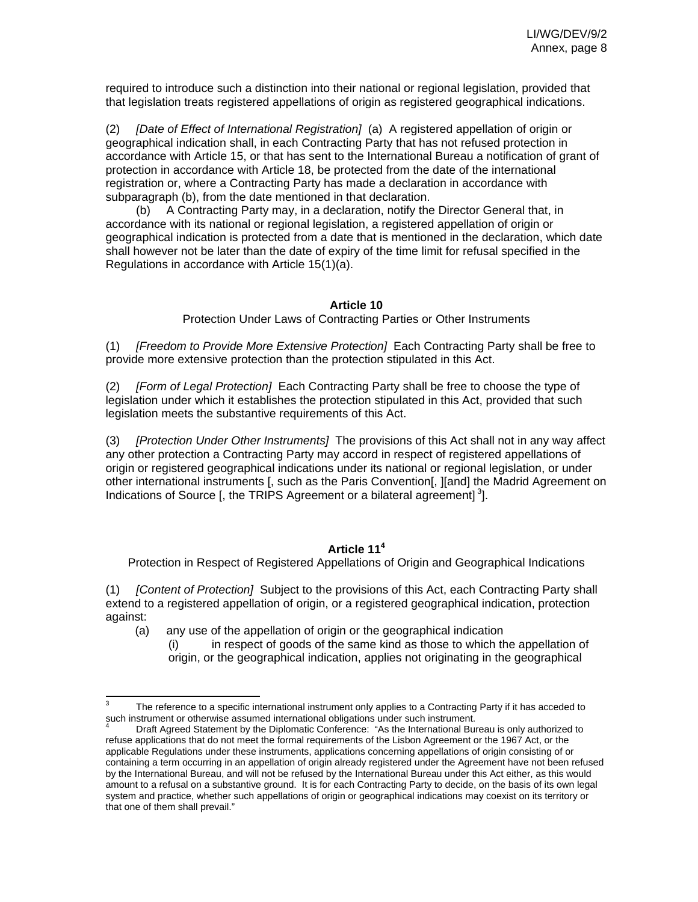required to introduce such a distinction into their national or regional legislation, provided that that legislation treats registered appellations of origin as registered geographical indications.

(2) *[Date of Effect of International Registration]* (a) A registered appellation of origin or geographical indication shall, in each Contracting Party that has not refused protection in accordance with Article 15, or that has sent to the International Bureau a notification of grant of protection in accordance with Article 18, be protected from the date of the international registration or, where a Contracting Party has made a declaration in accordance with subparagraph (b), from the date mentioned in that declaration.

(b) A Contracting Party may, in a declaration, notify the Director General that, in accordance with its national or regional legislation, a registered appellation of origin or geographical indication is protected from a date that is mentioned in the declaration, which date shall however not be later than the date of expiry of the time limit for refusal specified in the Regulations in accordance with Article 15(1)(a).

## **Article 10**

Protection Under Laws of Contracting Parties or Other Instruments

(1) *[Freedom to Provide More Extensive Protection]* Each Contracting Party shall be free to provide more extensive protection than the protection stipulated in this Act.

(2) *[Form of Legal Protection]* Each Contracting Party shall be free to choose the type of legislation under which it establishes the protection stipulated in this Act, provided that such legislation meets the substantive requirements of this Act.

(3) *[Protection Under Other Instruments]* The provisions of this Act shall not in any way affect any other protection a Contracting Party may accord in respect of registered appellations of origin or registered geographical indications under its national or regional legislation, or under other international instruments [, such as the Paris Convention[, ][and] the Madrid Agreement on Indications of Source [, the TRIPS Agreement or a bilateral agreement]<sup>3</sup>].

## **Article 11<sup>4</sup>**

Protection in Respect of Registered Appellations of Origin and Geographical Indications

(1) *[Content of Protection]* Subject to the provisions of this Act, each Contracting Party shall extend to a registered appellation of origin, or a registered geographical indication, protection against:

(a) any use of the appellation of origin or the geographical indication

(i) in respect of goods of the same kind as those to which the appellation of origin, or the geographical indication, applies not originating in the geographical

 $\overline{a}$ 3 The reference to a specific international instrument only applies to a Contracting Party if it has acceded to such instrument or otherwise assumed international obligations under such instrument.<br><sup>4</sup>

Draft Agreed Statement by the Diplomatic Conference: "As the International Bureau is only authorized to refuse applications that do not meet the formal requirements of the Lisbon Agreement or the 1967 Act, or the applicable Regulations under these instruments, applications concerning appellations of origin consisting of or containing a term occurring in an appellation of origin already registered under the Agreement have not been refused by the International Bureau, and will not be refused by the International Bureau under this Act either, as this would amount to a refusal on a substantive ground. It is for each Contracting Party to decide, on the basis of its own legal system and practice, whether such appellations of origin or geographical indications may coexist on its territory or that one of them shall prevail."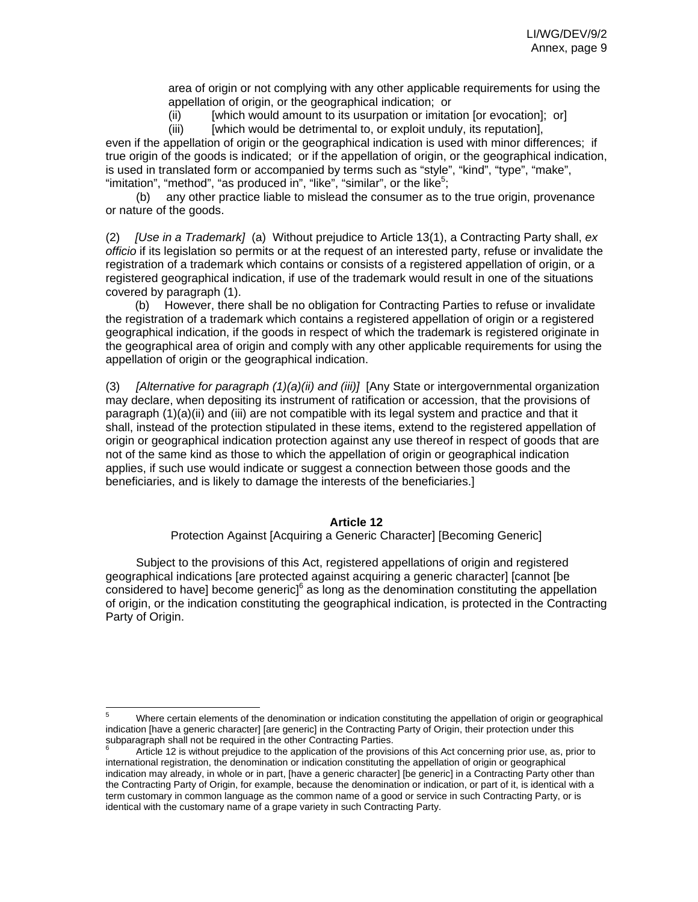area of origin or not complying with any other applicable requirements for using the appellation of origin, or the geographical indication; or

(ii) [which would amount to its usurpation or imitation [or evocation]; or]

(iii) [which would be detrimental to, or exploit unduly, its reputation],

even if the appellation of origin or the geographical indication is used with minor differences; if true origin of the goods is indicated; or if the appellation of origin, or the geographical indication, is used in translated form or accompanied by terms such as "style", "kind", "type", "make", "imitation", "method", "as produced in", "like", "similar", or the like<sup>5</sup>;

(b) any other practice liable to mislead the consumer as to the true origin, provenance or nature of the goods.

(2) *[Use in a Trademark]* (a) Without prejudice to Article 13(1), a Contracting Party shall, *ex officio* if its legislation so permits or at the request of an interested party, refuse or invalidate the registration of a trademark which contains or consists of a registered appellation of origin, or a registered geographical indication, if use of the trademark would result in one of the situations covered by paragraph (1).

 (b) However, there shall be no obligation for Contracting Parties to refuse or invalidate the registration of a trademark which contains a registered appellation of origin or a registered geographical indication, if the goods in respect of which the trademark is registered originate in the geographical area of origin and comply with any other applicable requirements for using the appellation of origin or the geographical indication.

(3) *[Alternative for paragraph (1)(a)(ii) and (iii)]* [Any State or intergovernmental organization may declare, when depositing its instrument of ratification or accession, that the provisions of paragraph (1)(a)(ii) and (iii) are not compatible with its legal system and practice and that it shall, instead of the protection stipulated in these items, extend to the registered appellation of origin or geographical indication protection against any use thereof in respect of goods that are not of the same kind as those to which the appellation of origin or geographical indication applies, if such use would indicate or suggest a connection between those goods and the beneficiaries, and is likely to damage the interests of the beneficiaries.]

## **Article 12**

Protection Against [Acquiring a Generic Character] [Becoming Generic]

Subject to the provisions of this Act, registered appellations of origin and registered geographical indications [are protected against acquiring a generic character] [cannot [be considered to have] become generic] $<sup>6</sup>$  as long as the denomination constituting the appellation</sup> of origin, or the indication constituting the geographical indication, is protected in the Contracting Party of Origin.

l 5 Where certain elements of the denomination or indication constituting the appellation of origin or geographical indication [have a generic character] [are generic] in the Contracting Party of Origin, their protection under this subparagraph shall not be required in the other Contracting Parties.<br><sup>6</sup>

Article 12 is without prejudice to the application of the provisions of this Act concerning prior use, as, prior to international registration, the denomination or indication constituting the appellation of origin or geographical indication may already, in whole or in part, [have a generic character] [be generic] in a Contracting Party other than the Contracting Party of Origin, for example, because the denomination or indication, or part of it, is identical with a term customary in common language as the common name of a good or service in such Contracting Party, or is identical with the customary name of a grape variety in such Contracting Party.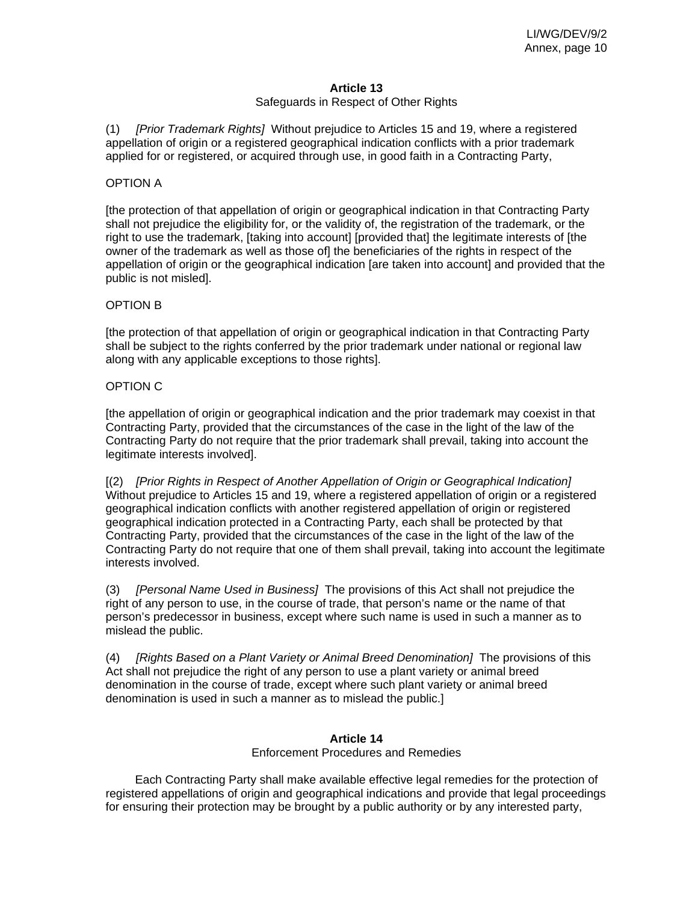#### Safeguards in Respect of Other Rights

(1) *[Prior Trademark Rights]* Without prejudice to Articles 15 and 19, where a registered appellation of origin or a registered geographical indication conflicts with a prior trademark applied for or registered, or acquired through use, in good faith in a Contracting Party,

## OPTION A

[the protection of that appellation of origin or geographical indication in that Contracting Party shall not prejudice the eligibility for, or the validity of, the registration of the trademark, or the right to use the trademark, [taking into account] [provided that] the legitimate interests of [the owner of the trademark as well as those of] the beneficiaries of the rights in respect of the appellation of origin or the geographical indication [are taken into account] and provided that the public is not misled].

#### OPTION B

[the protection of that appellation of origin or geographical indication in that Contracting Party shall be subject to the rights conferred by the prior trademark under national or regional law along with any applicable exceptions to those rights].

#### OPTION C

[the appellation of origin or geographical indication and the prior trademark may coexist in that Contracting Party, provided that the circumstances of the case in the light of the law of the Contracting Party do not require that the prior trademark shall prevail, taking into account the legitimate interests involved].

[(2) *[Prior Rights in Respect of Another Appellation of Origin or Geographical Indication]* Without prejudice to Articles 15 and 19, where a registered appellation of origin or a registered geographical indication conflicts with another registered appellation of origin or registered geographical indication protected in a Contracting Party, each shall be protected by that Contracting Party, provided that the circumstances of the case in the light of the law of the Contracting Party do not require that one of them shall prevail, taking into account the legitimate interests involved.

(3) *[Personal Name Used in Business]* The provisions of this Act shall not prejudice the right of any person to use, in the course of trade, that person's name or the name of that person's predecessor in business, except where such name is used in such a manner as to mislead the public.

(4) *[Rights Based on a Plant Variety or Animal Breed Denomination]* The provisions of this Act shall not prejudice the right of any person to use a plant variety or animal breed denomination in the course of trade, except where such plant variety or animal breed denomination is used in such a manner as to mislead the public.]

#### **Article 14** Enforcement Procedures and Remedies

Each Contracting Party shall make available effective legal remedies for the protection of registered appellations of origin and geographical indications and provide that legal proceedings for ensuring their protection may be brought by a public authority or by any interested party,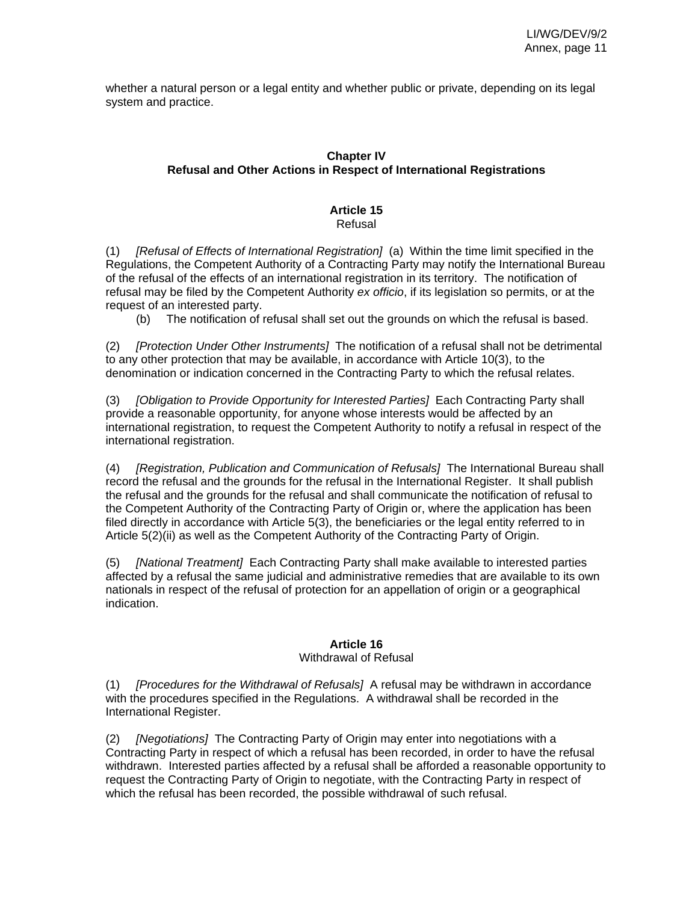whether a natural person or a legal entity and whether public or private, depending on its legal system and practice.

# **Chapter IV Refusal and Other Actions in Respect of International Registrations**

#### **Article 15** Refusal

(1) *[Refusal of Effects of International Registration]* (a) Within the time limit specified in the Regulations, the Competent Authority of a Contracting Party may notify the International Bureau of the refusal of the effects of an international registration in its territory. The notification of refusal may be filed by the Competent Authority *ex officio*, if its legislation so permits, or at the request of an interested party.

(b) The notification of refusal shall set out the grounds on which the refusal is based.

(2) *[Protection Under Other Instruments]* The notification of a refusal shall not be detrimental to any other protection that may be available, in accordance with Article 10(3), to the denomination or indication concerned in the Contracting Party to which the refusal relates.

(3) *[Obligation to Provide Opportunity for Interested Parties]* Each Contracting Party shall provide a reasonable opportunity, for anyone whose interests would be affected by an international registration, to request the Competent Authority to notify a refusal in respect of the international registration.

(4) *[Registration, Publication and Communication of Refusals]* The International Bureau shall record the refusal and the grounds for the refusal in the International Register. It shall publish the refusal and the grounds for the refusal and shall communicate the notification of refusal to the Competent Authority of the Contracting Party of Origin or, where the application has been filed directly in accordance with Article 5(3), the beneficiaries or the legal entity referred to in Article 5(2)(ii) as well as the Competent Authority of the Contracting Party of Origin.

(5) *[National Treatment]* Each Contracting Party shall make available to interested parties affected by a refusal the same judicial and administrative remedies that are available to its own nationals in respect of the refusal of protection for an appellation of origin or a geographical indication.

# **Article 16**

## Withdrawal of Refusal

(1) *[Procedures for the Withdrawal of Refusals]* A refusal may be withdrawn in accordance with the procedures specified in the Regulations. A withdrawal shall be recorded in the International Register.

(2) *[Negotiations]* The Contracting Party of Origin may enter into negotiations with a Contracting Party in respect of which a refusal has been recorded, in order to have the refusal withdrawn. Interested parties affected by a refusal shall be afforded a reasonable opportunity to request the Contracting Party of Origin to negotiate, with the Contracting Party in respect of which the refusal has been recorded, the possible withdrawal of such refusal.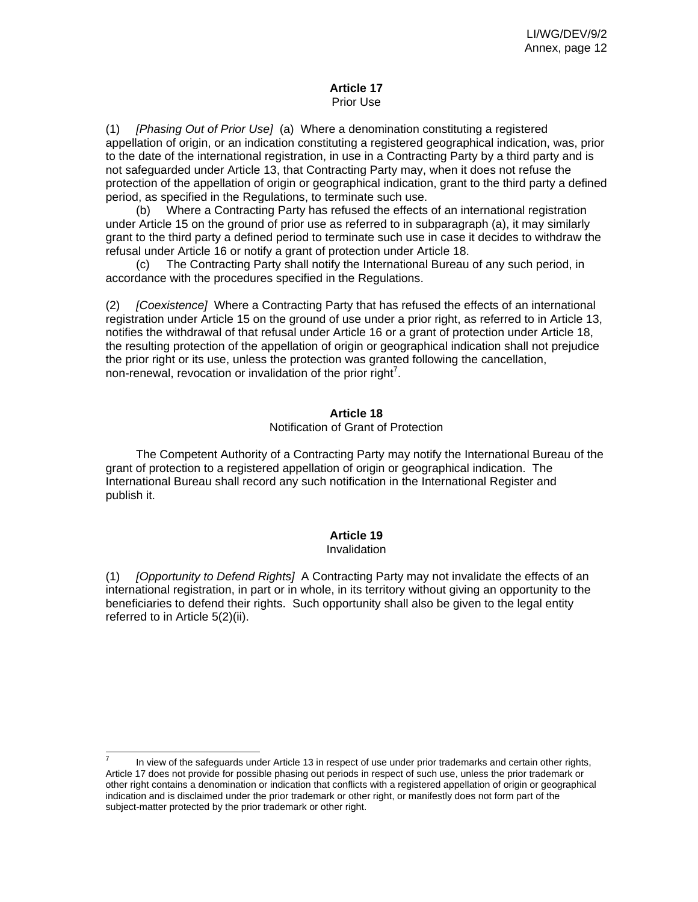#### **Article 17** Prior Use

(1) *[Phasing Out of Prior Use]* (a) Where a denomination constituting a registered appellation of origin, or an indication constituting a registered geographical indication, was, prior to the date of the international registration, in use in a Contracting Party by a third party and is not safeguarded under Article 13, that Contracting Party may, when it does not refuse the protection of the appellation of origin or geographical indication, grant to the third party a defined period, as specified in the Regulations, to terminate such use.

Where a Contracting Party has refused the effects of an international registration under Article 15 on the ground of prior use as referred to in subparagraph (a), it may similarly grant to the third party a defined period to terminate such use in case it decides to withdraw the refusal under Article 16 or notify a grant of protection under Article 18.

(c) The Contracting Party shall notify the International Bureau of any such period, in accordance with the procedures specified in the Regulations.

(2) *[Coexistence]* Where a Contracting Party that has refused the effects of an international registration under Article 15 on the ground of use under a prior right, as referred to in Article 13, notifies the withdrawal of that refusal under Article 16 or a grant of protection under Article 18, the resulting protection of the appellation of origin or geographical indication shall not prejudice the prior right or its use, unless the protection was granted following the cancellation, non-renewal, revocation or invalidation of the prior right<sup>7</sup>.

## **Article 18**

#### Notification of Grant of Protection

 The Competent Authority of a Contracting Party may notify the International Bureau of the grant of protection to a registered appellation of origin or geographical indication. The International Bureau shall record any such notification in the International Register and publish it.

# **Article 19**

#### Invalidation

(1) *[Opportunity to Defend Rights]* A Contracting Party may not invalidate the effects of an international registration, in part or in whole, in its territory without giving an opportunity to the beneficiaries to defend their rights. Such opportunity shall also be given to the legal entity referred to in Article 5(2)(ii).

<sup>-&</sup>lt;br>7 In view of the safeguards under Article 13 in respect of use under prior trademarks and certain other rights, Article 17 does not provide for possible phasing out periods in respect of such use, unless the prior trademark or other right contains a denomination or indication that conflicts with a registered appellation of origin or geographical indication and is disclaimed under the prior trademark or other right, or manifestly does not form part of the subject-matter protected by the prior trademark or other right.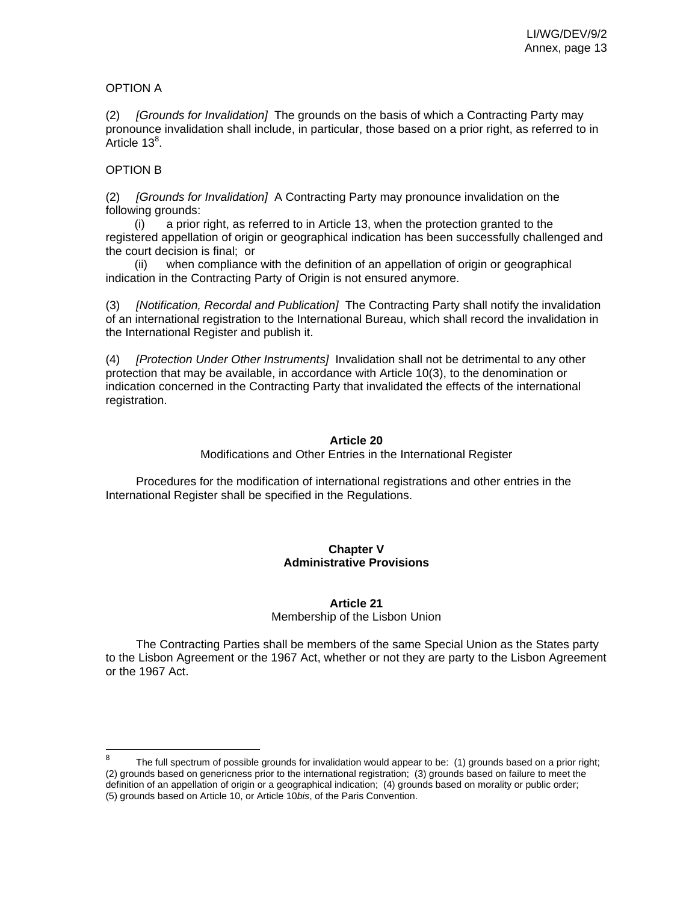## OPTION A

(2) *[Grounds for Invalidation]* The grounds on the basis of which a Contracting Party may pronounce invalidation shall include, in particular, those based on a prior right, as referred to in  $\overline{\phantom{a}}$ Article 13 $^8$ .

## OPTION B

(2) *[Grounds for Invalidation]* A Contracting Party may pronounce invalidation on the following grounds:

(i) a prior right, as referred to in Article 13, when the protection granted to the registered appellation of origin or geographical indication has been successfully challenged and the court decision is final; or

(ii) when compliance with the definition of an appellation of origin or geographical indication in the Contracting Party of Origin is not ensured anymore.

(3) *[Notification, Recordal and Publication]* The Contracting Party shall notify the invalidation of an international registration to the International Bureau, which shall record the invalidation in the International Register and publish it.

(4) *[Protection Under Other Instruments]* Invalidation shall not be detrimental to any other protection that may be available, in accordance with Article 10(3), to the denomination or indication concerned in the Contracting Party that invalidated the effects of the international registration.

## **Article 20**

Modifications and Other Entries in the International Register

Procedures for the modification of international registrations and other entries in the International Register shall be specified in the Regulations.

## **Chapter V Administrative Provisions**

#### **Article 21**

Membership of the Lisbon Union

 The Contracting Parties shall be members of the same Special Union as the States party to the Lisbon Agreement or the 1967 Act, whether or not they are party to the Lisbon Agreement or the 1967 Act.

 $\frac{1}{8}$  The full spectrum of possible grounds for invalidation would appear to be: (1) grounds based on a prior right; (2) grounds based on genericness prior to the international registration; (3) grounds based on failure to meet the definition of an appellation of origin or a geographical indication; (4) grounds based on morality or public order; (5) grounds based on Article 10, or Article 10*bis*, of the Paris Convention.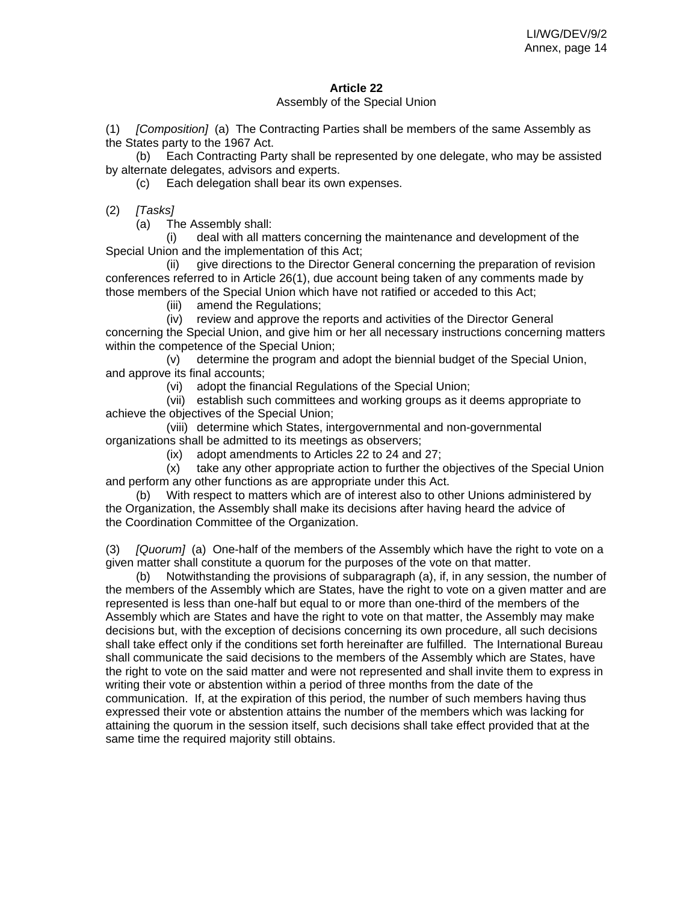#### Assembly of the Special Union

(1) *[Composition]* (a) The Contracting Parties shall be members of the same Assembly as the States party to the 1967 Act.

 (b) Each Contracting Party shall be represented by one delegate, who may be assisted by alternate delegates, advisors and experts.

(c) Each delegation shall bear its own expenses.

## (2) *[Tasks]*

(a) The Assembly shall:

 (i) deal with all matters concerning the maintenance and development of the Special Union and the implementation of this Act;

(ii) give directions to the Director General concerning the preparation of revision conferences referred to in Article 26(1), due account being taken of any comments made by those members of the Special Union which have not ratified or acceded to this Act;

(iii) amend the Regulations;

(iv) review and approve the reports and activities of the Director General concerning the Special Union, and give him or her all necessary instructions concerning matters within the competence of the Special Union:

(v) determine the program and adopt the biennial budget of the Special Union, and approve its final accounts;

(vi) adopt the financial Regulations of the Special Union;

(vii) establish such committees and working groups as it deems appropriate to achieve the objectives of the Special Union;

(viii) determine which States, intergovernmental and non-governmental organizations shall be admitted to its meetings as observers;

(ix) adopt amendments to Articles 22 to 24 and 27;

(x) take any other appropriate action to further the objectives of the Special Union and perform any other functions as are appropriate under this Act.

With respect to matters which are of interest also to other Unions administered by the Organization, the Assembly shall make its decisions after having heard the advice of the Coordination Committee of the Organization.

(3) *[Quorum]* (a) One-half of the members of the Assembly which have the right to vote on a given matter shall constitute a quorum for the purposes of the vote on that matter.

(b) Notwithstanding the provisions of subparagraph (a), if, in any session, the number of the members of the Assembly which are States, have the right to vote on a given matter and are represented is less than one-half but equal to or more than one-third of the members of the Assembly which are States and have the right to vote on that matter, the Assembly may make decisions but, with the exception of decisions concerning its own procedure, all such decisions shall take effect only if the conditions set forth hereinafter are fulfilled. The International Bureau shall communicate the said decisions to the members of the Assembly which are States, have the right to vote on the said matter and were not represented and shall invite them to express in writing their vote or abstention within a period of three months from the date of the communication. If, at the expiration of this period, the number of such members having thus expressed their vote or abstention attains the number of the members which was lacking for attaining the quorum in the session itself, such decisions shall take effect provided that at the same time the required majority still obtains.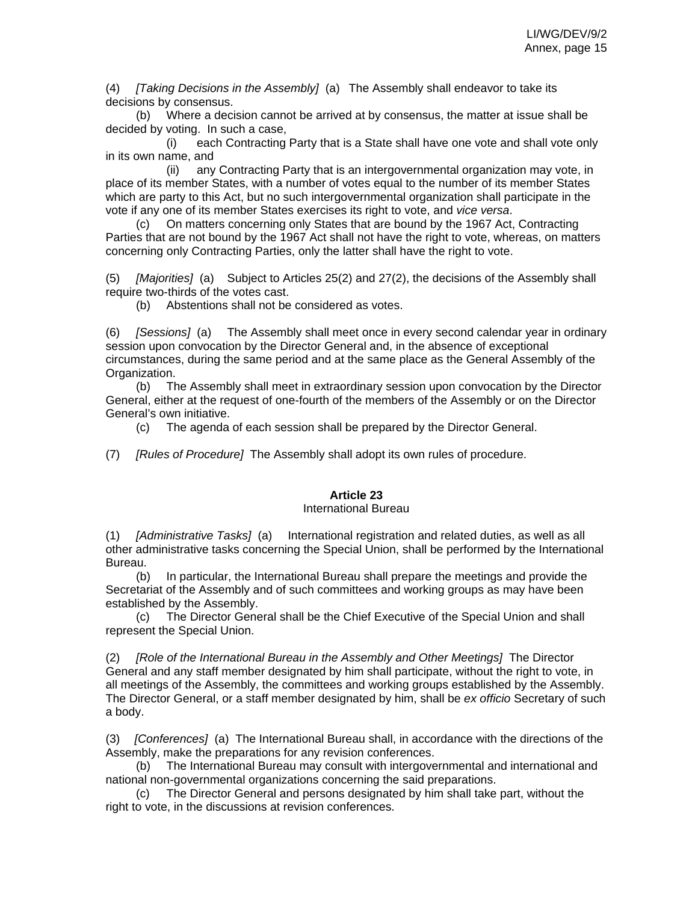(4) *[Taking Decisions in the Assembly]* (a) The Assembly shall endeavor to take its decisions by consensus.

(b) Where a decision cannot be arrived at by consensus, the matter at issue shall be decided by voting. In such a case,

(i) each Contracting Party that is a State shall have one vote and shall vote only in its own name, and

(ii) any Contracting Party that is an intergovernmental organization may vote, in place of its member States, with a number of votes equal to the number of its member States which are party to this Act, but no such intergovernmental organization shall participate in the vote if any one of its member States exercises its right to vote, and *vice versa*.

 (c) On matters concerning only States that are bound by the 1967 Act, Contracting Parties that are not bound by the 1967 Act shall not have the right to vote, whereas, on matters concerning only Contracting Parties, only the latter shall have the right to vote.

(5) *[Majorities]* (a) Subject to Articles 25(2) and 27(2), the decisions of the Assembly shall require two-thirds of the votes cast.

(b) Abstentions shall not be considered as votes.

(6) *[Sessions]* (a) The Assembly shall meet once in every second calendar year in ordinary session upon convocation by the Director General and, in the absence of exceptional circumstances, during the same period and at the same place as the General Assembly of the Organization.

(b) The Assembly shall meet in extraordinary session upon convocation by the Director General, either at the request of one-fourth of the members of the Assembly or on the Director General's own initiative.

(c) The agenda of each session shall be prepared by the Director General.

(7) *[Rules of Procedure]* The Assembly shall adopt its own rules of procedure.

## **Article 23**

#### International Bureau

(1) *[Administrative Tasks]* (a) International registration and related duties, as well as all other administrative tasks concerning the Special Union, shall be performed by the International Bureau.

 (b) In particular, the International Bureau shall prepare the meetings and provide the Secretariat of the Assembly and of such committees and working groups as may have been established by the Assembly.

 (c) The Director General shall be the Chief Executive of the Special Union and shall represent the Special Union.

(2) *[Role of the International Bureau in the Assembly and Other Meetings]* The Director General and any staff member designated by him shall participate, without the right to vote, in all meetings of the Assembly, the committees and working groups established by the Assembly. The Director General, or a staff member designated by him, shall be *ex officio* Secretary of such a body.

(3) *[Conferences]* (a) The International Bureau shall, in accordance with the directions of the Assembly, make the preparations for any revision conferences.

 (b) The International Bureau may consult with intergovernmental and international and national non-governmental organizations concerning the said preparations.

 (c) The Director General and persons designated by him shall take part, without the right to vote, in the discussions at revision conferences.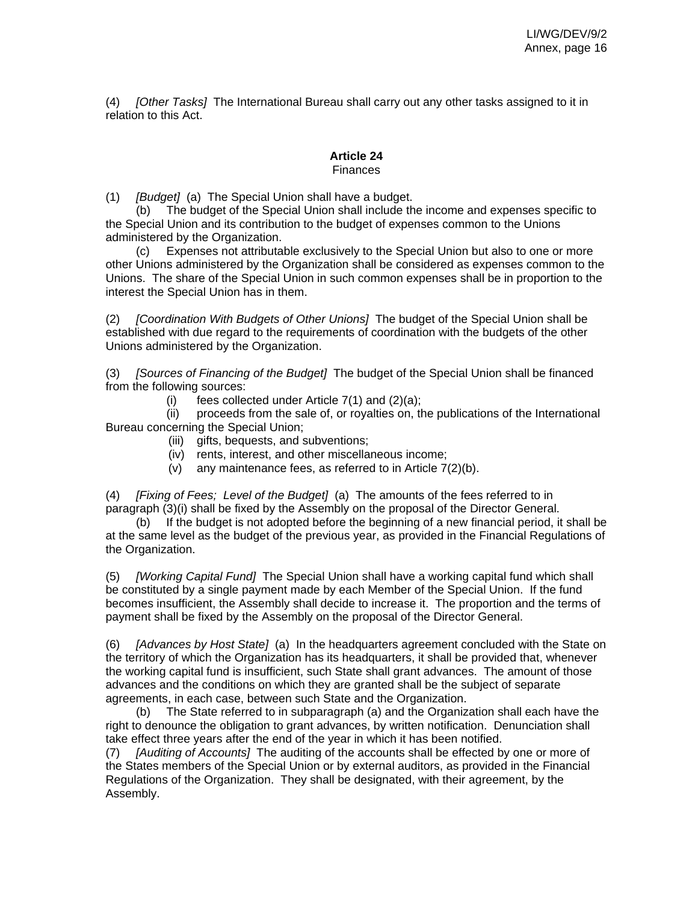(4) *[Other Tasks]* The International Bureau shall carry out any other tasks assigned to it in relation to this Act.

# **Article 24**

#### Finances

(1) *[Budget]* (a) The Special Union shall have a budget.

 (b) The budget of the Special Union shall include the income and expenses specific to the Special Union and its contribution to the budget of expenses common to the Unions administered by the Organization.

 (c) Expenses not attributable exclusively to the Special Union but also to one or more other Unions administered by the Organization shall be considered as expenses common to the Unions. The share of the Special Union in such common expenses shall be in proportion to the interest the Special Union has in them.

(2) *[Coordination With Budgets of Other Unions]* The budget of the Special Union shall be established with due regard to the requirements of coordination with the budgets of the other Unions administered by the Organization.

(3) *[Sources of Financing of the Budget]* The budget of the Special Union shall be financed from the following sources:

(i) fees collected under Article  $7(1)$  and  $(2)(a)$ ;

(ii) proceeds from the sale of, or royalties on, the publications of the International Bureau concerning the Special Union;

- (iii) gifts, bequests, and subventions;
- (iv) rents, interest, and other miscellaneous income;
- (v) any maintenance fees, as referred to in Article 7(2)(b).

(4) *[Fixing of Fees; Level of the Budget]* (a) The amounts of the fees referred to in paragraph (3)(i) shall be fixed by the Assembly on the proposal of the Director General.

 (b) If the budget is not adopted before the beginning of a new financial period, it shall be at the same level as the budget of the previous year, as provided in the Financial Regulations of the Organization.

(5) *[Working Capital Fund]* The Special Union shall have a working capital fund which shall be constituted by a single payment made by each Member of the Special Union. If the fund becomes insufficient, the Assembly shall decide to increase it. The proportion and the terms of payment shall be fixed by the Assembly on the proposal of the Director General.

(6) *[Advances by Host State]* (a) In the headquarters agreement concluded with the State on the territory of which the Organization has its headquarters, it shall be provided that, whenever the working capital fund is insufficient, such State shall grant advances. The amount of those advances and the conditions on which they are granted shall be the subject of separate agreements, in each case, between such State and the Organization.

 (b) The State referred to in subparagraph (a) and the Organization shall each have the right to denounce the obligation to grant advances, by written notification. Denunciation shall take effect three years after the end of the year in which it has been notified.

(7) *[Auditing of Accounts]* The auditing of the accounts shall be effected by one or more of the States members of the Special Union or by external auditors, as provided in the Financial Regulations of the Organization. They shall be designated, with their agreement, by the Assembly.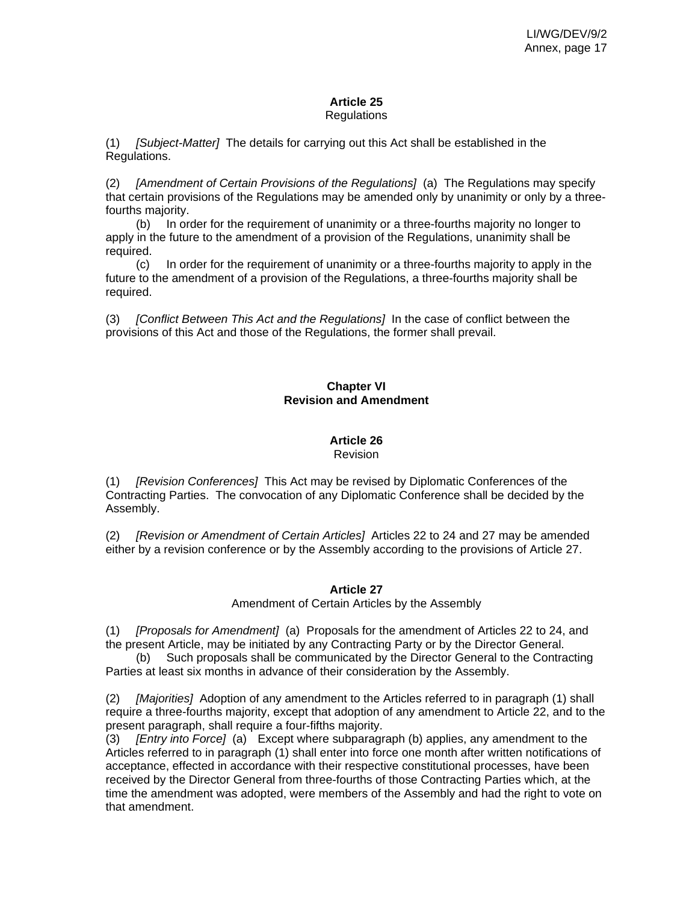## **Regulations**

(1) *[Subject-Matter]* The details for carrying out this Act shall be established in the Regulations.

(2) *[Amendment of Certain Provisions of the Regulations]* (a) The Regulations may specify that certain provisions of the Regulations may be amended only by unanimity or only by a threefourths majority.

(b) In order for the requirement of unanimity or a three-fourths majority no longer to apply in the future to the amendment of a provision of the Regulations, unanimity shall be required.

(c) In order for the requirement of unanimity or a three-fourths majority to apply in the future to the amendment of a provision of the Regulations, a three-fourths majority shall be required.

(3) *[Conflict Between This Act and the Regulations]* In the case of conflict between the provisions of this Act and those of the Regulations, the former shall prevail.

## **Chapter VI Revision and Amendment**

# **Article 26**

#### Revision

(1) *[Revision Conferences]* This Act may be revised by Diplomatic Conferences of the Contracting Parties. The convocation of any Diplomatic Conference shall be decided by the Assembly.

(2) *[Revision or Amendment of Certain Articles]* Articles 22 to 24 and 27 may be amended either by a revision conference or by the Assembly according to the provisions of Article 27.

## **Article 27**

Amendment of Certain Articles by the Assembly

(1) *[Proposals for Amendment]* (a) Proposals for the amendment of Articles 22 to 24, and the present Article, may be initiated by any Contracting Party or by the Director General.

(b) Such proposals shall be communicated by the Director General to the Contracting Parties at least six months in advance of their consideration by the Assembly.

(2) *[Majorities]* Adoption of any amendment to the Articles referred to in paragraph (1) shall require a three-fourths majority, except that adoption of any amendment to Article 22, and to the present paragraph, shall require a four-fifths majority.

(3) *[Entry into Force]* (a) Except where subparagraph (b) applies, any amendment to the Articles referred to in paragraph (1) shall enter into force one month after written notifications of acceptance, effected in accordance with their respective constitutional processes, have been received by the Director General from three-fourths of those Contracting Parties which, at the time the amendment was adopted, were members of the Assembly and had the right to vote on that amendment.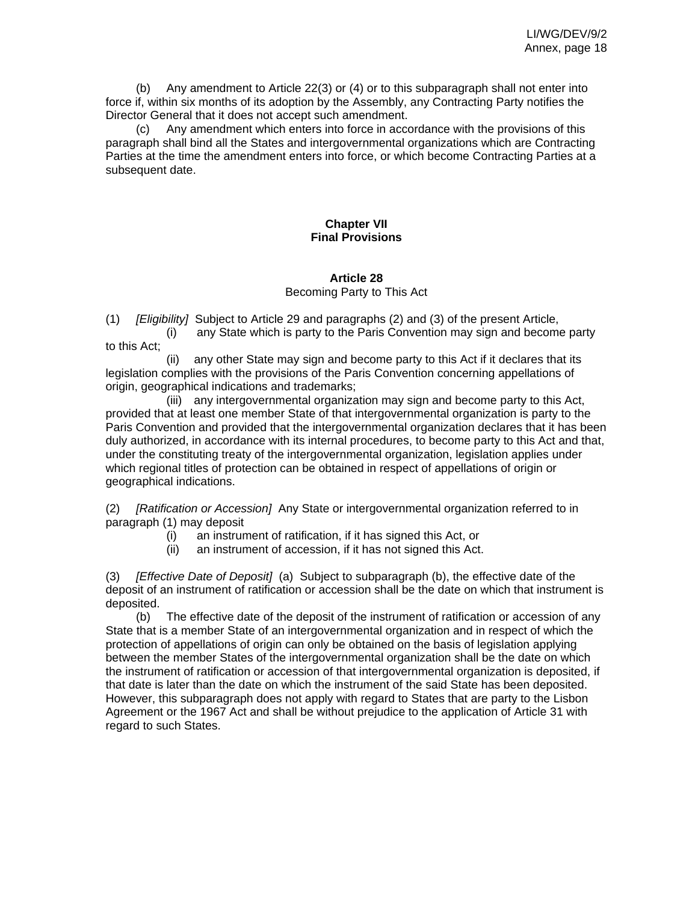(b) Any amendment to Article 22(3) or (4) or to this subparagraph shall not enter into force if, within six months of its adoption by the Assembly, any Contracting Party notifies the Director General that it does not accept such amendment.

(c) Any amendment which enters into force in accordance with the provisions of this paragraph shall bind all the States and intergovernmental organizations which are Contracting Parties at the time the amendment enters into force, or which become Contracting Parties at a subsequent date.

## **Chapter VII Final Provisions**

## **Article 28**

## Becoming Party to This Act

(1) *[Eligibility]* Subject to Article 29 and paragraphs (2) and (3) of the present Article,

(i) any State which is party to the Paris Convention may sign and become party to this Act;

(ii) any other State may sign and become party to this Act if it declares that its legislation complies with the provisions of the Paris Convention concerning appellations of origin, geographical indications and trademarks;

(iii) any intergovernmental organization may sign and become party to this Act, provided that at least one member State of that intergovernmental organization is party to the Paris Convention and provided that the intergovernmental organization declares that it has been duly authorized, in accordance with its internal procedures, to become party to this Act and that, under the constituting treaty of the intergovernmental organization, legislation applies under which regional titles of protection can be obtained in respect of appellations of origin or geographical indications.

(2) *[Ratification or Accession]* Any State or intergovernmental organization referred to in paragraph (1) may deposit

- (i) an instrument of ratification, if it has signed this Act, or
- (ii) an instrument of accession, if it has not signed this Act.

(3) *[Effective Date of Deposit]* (a) Subject to subparagraph (b), the effective date of the deposit of an instrument of ratification or accession shall be the date on which that instrument is deposited.

(b) The effective date of the deposit of the instrument of ratification or accession of any State that is a member State of an intergovernmental organization and in respect of which the protection of appellations of origin can only be obtained on the basis of legislation applying between the member States of the intergovernmental organization shall be the date on which the instrument of ratification or accession of that intergovernmental organization is deposited, if that date is later than the date on which the instrument of the said State has been deposited. However, this subparagraph does not apply with regard to States that are party to the Lisbon Agreement or the 1967 Act and shall be without prejudice to the application of Article 31 with regard to such States.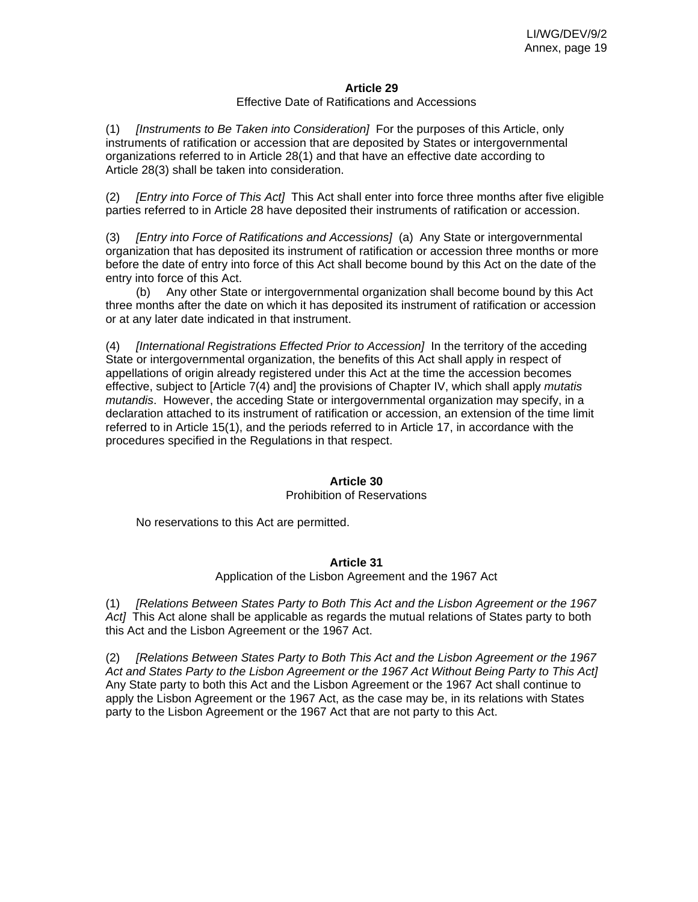## Effective Date of Ratifications and Accessions

(1) *[Instruments to Be Taken into Consideration]* For the purposes of this Article, only instruments of ratification or accession that are deposited by States or intergovernmental organizations referred to in Article 28(1) and that have an effective date according to Article 28(3) shall be taken into consideration.

(2) *[Entry into Force of This Act]* This Act shall enter into force three months after five eligible parties referred to in Article 28 have deposited their instruments of ratification or accession.

(3) *[Entry into Force of Ratifications and Accessions]* (a) Any State or intergovernmental organization that has deposited its instrument of ratification or accession three months or more before the date of entry into force of this Act shall become bound by this Act on the date of the entry into force of this Act.

(b) Any other State or intergovernmental organization shall become bound by this Act three months after the date on which it has deposited its instrument of ratification or accession or at any later date indicated in that instrument.

(4) *[International Registrations Effected Prior to Accession]* In the territory of the acceding State or intergovernmental organization, the benefits of this Act shall apply in respect of appellations of origin already registered under this Act at the time the accession becomes effective, subject to [Article 7(4) and] the provisions of Chapter IV, which shall apply *mutatis mutandis*. However, the acceding State or intergovernmental organization may specify, in a declaration attached to its instrument of ratification or accession, an extension of the time limit referred to in Article 15(1), and the periods referred to in Article 17, in accordance with the procedures specified in the Regulations in that respect.

#### **Article 30**

#### Prohibition of Reservations

No reservations to this Act are permitted.

## **Article 31**

Application of the Lisbon Agreement and the 1967 Act

(1) *[Relations Between States Party to Both This Act and the Lisbon Agreement or the 1967 Act]* This Act alone shall be applicable as regards the mutual relations of States party to both this Act and the Lisbon Agreement or the 1967 Act.

(2) *[Relations Between States Party to Both This Act and the Lisbon Agreement or the 1967 Act and States Party to the Lisbon Agreement or the 1967 Act Without Being Party to This Act]*  Any State party to both this Act and the Lisbon Agreement or the 1967 Act shall continue to apply the Lisbon Agreement or the 1967 Act, as the case may be, in its relations with States party to the Lisbon Agreement or the 1967 Act that are not party to this Act.